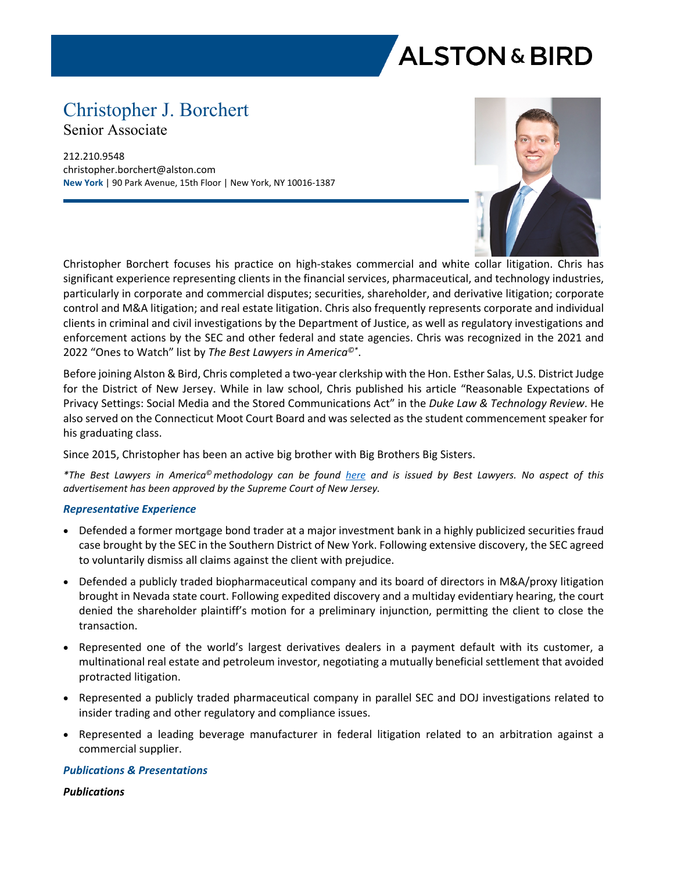# **ALSTON & BIRD**

## Christopher J. Borchert

Senior Associate

212.210.9548 christopher.borchert@alston.com **New York** | 90 Park Avenue, 15th Floor | New York, NY 10016-1387



Christopher Borchert focuses his practice on high-stakes commercial and white collar litigation. Chris has significant experience representing clients in the financial services, pharmaceutical, and technology industries, particularly in corporate and commercial disputes; securities, shareholder, and derivative litigation; corporate control and M&A litigation; and real estate litigation. Chris also frequently represents corporate and individual clients in criminal and civil investigations by the Department of Justice, as well as regulatory investigations and enforcement actions by the SEC and other federal and state agencies. Chris was recognized in the 2021 and 2022 "Ones to Watch" list by *The Best Lawyers in America©\** .

Before joining Alston & Bird, Chris completed a two-year clerkship with the Hon. Esther Salas, U.S. District Judge for the District of New Jersey. While in law school, Chris published his article "Reasonable Expectations of Privacy Settings: Social Media and the Stored Communications Act" in the *Duke Law & Technology Review*. He also served on the Connecticut Moot Court Board and was selected as the student commencement speaker for his graduating class.

Since 2015, Christopher has been an active big brother with Big Brothers Big Sisters.

*\*The Best Lawyers in America© methodology can be found [here](https://www.bestlawyers.com/methodology) and is issued by Best Lawyers. No aspect of this advertisement has been approved by the Supreme Court of New Jersey.*

#### *Representative Experience*

- Defended a former mortgage bond trader at a major investment bank in a highly publicized securities fraud case brought by the SEC in the Southern District of New York. Following extensive discovery, the SEC agreed to voluntarily dismiss all claims against the client with prejudice.
- Defended a publicly traded biopharmaceutical company and its board of directors in M&A/proxy litigation brought in Nevada state court. Following expedited discovery and a multiday evidentiary hearing, the court denied the shareholder plaintiff's motion for a preliminary injunction, permitting the client to close the transaction.
- Represented one of the world's largest derivatives dealers in a payment default with its customer, a multinational real estate and petroleum investor, negotiating a mutually beneficial settlement that avoided protracted litigation.
- Represented a publicly traded pharmaceutical company in parallel SEC and DOJ investigations related to insider trading and other regulatory and compliance issues.
- Represented a leading beverage manufacturer in federal litigation related to an arbitration against a commercial supplier.

### *Publications & Presentations*

*Publications*